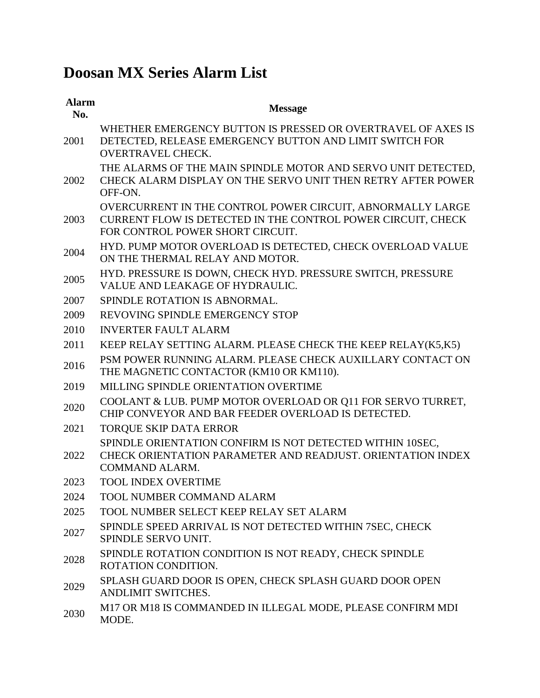## **Doosan MX Series Alarm List**

| <b>Alarm</b><br>No. | <b>Message</b>                                                                                                                                                 |
|---------------------|----------------------------------------------------------------------------------------------------------------------------------------------------------------|
| 2001                | WHETHER EMERGENCY BUTTON IS PRESSED OR OVERTRAVEL OF AXES IS<br>DETECTED, RELEASE EMERGENCY BUTTON AND LIMIT SWITCH FOR<br><b>OVERTRAVEL CHECK.</b>            |
| 2002                | THE ALARMS OF THE MAIN SPINDLE MOTOR AND SERVO UNIT DETECTED,<br>CHECK ALARM DISPLAY ON THE SERVO UNIT THEN RETRY AFTER POWER<br>OFF-ON.                       |
| 2003                | OVERCURRENT IN THE CONTROL POWER CIRCUIT, ABNORMALLY LARGE<br>CURRENT FLOW IS DETECTED IN THE CONTROL POWER CIRCUIT, CHECK<br>FOR CONTROL POWER SHORT CIRCUIT. |
| 2004                | HYD. PUMP MOTOR OVERLOAD IS DETECTED, CHECK OVERLOAD VALUE<br>ON THE THERMAL RELAY AND MOTOR.                                                                  |
| 2005                | HYD. PRESSURE IS DOWN, CHECK HYD. PRESSURE SWITCH, PRESSURE<br>VALUE AND LEAKAGE OF HYDRAULIC.                                                                 |
| 2007                | SPINDLE ROTATION IS ABNORMAL.                                                                                                                                  |
| 2009                | REVOVING SPINDLE EMERGENCY STOP                                                                                                                                |
| 2010                | <b>INVERTER FAULT ALARM</b>                                                                                                                                    |
| 2011                | KEEP RELAY SETTING ALARM. PLEASE CHECK THE KEEP RELAY(K5,K5)                                                                                                   |
| 2016                | PSM POWER RUNNING ALARM. PLEASE CHECK AUXILLARY CONTACT ON<br>THE MAGNETIC CONTACTOR (KM10 OR KM110).                                                          |
| 2019                | MILLING SPINDLE ORIENTATION OVERTIME                                                                                                                           |
| 2020                | COOLANT & LUB. PUMP MOTOR OVERLOAD OR Q11 FOR SERVO TURRET,<br>CHIP CONVEYOR AND BAR FEEDER OVERLOAD IS DETECTED.                                              |
| 2021                | <b>TORQUE SKIP DATA ERROR</b>                                                                                                                                  |
| 2022                | SPINDLE ORIENTATION CONFIRM IS NOT DETECTED WITHIN 10SEC,<br>CHECK ORIENTATION PARAMETER AND READJUST. ORIENTATION INDEX<br><b>COMMAND ALARM.</b>              |
| 2023                | <b>TOOL INDEX OVERTIME</b>                                                                                                                                     |
| 2024                | <b>TOOL NUMBER COMMAND ALARM</b>                                                                                                                               |
| 2025                | TOOL NUMBER SELECT KEEP RELAY SET ALARM                                                                                                                        |
| 2027                | SPINDLE SPEED ARRIVAL IS NOT DETECTED WITHIN 7SEC, CHECK<br>SPINDLE SERVO UNIT.                                                                                |
| 2028                | SPINDLE ROTATION CONDITION IS NOT READY, CHECK SPINDLE<br>ROTATION CONDITION.                                                                                  |
| 2029                | SPLASH GUARD DOOR IS OPEN, CHECK SPLASH GUARD DOOR OPEN<br><b>ANDLIMIT SWITCHES.</b>                                                                           |
| 2030                | M17 OR M18 IS COMMANDED IN ILLEGAL MODE, PLEASE CONFIRM MDI<br>MODE.                                                                                           |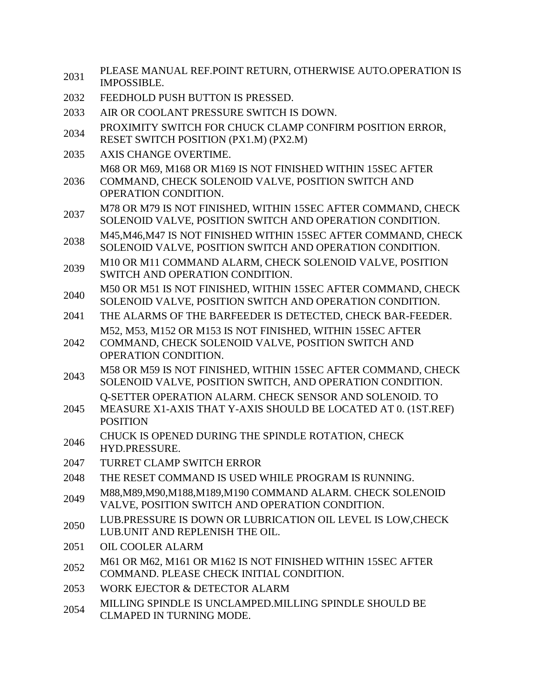| 2031 | PLEASE MANUAL REF.POINT RETURN, OTHERWISE AUTO.OPERATION IS<br><b>IMPOSSIBLE.</b>                                                                  |
|------|----------------------------------------------------------------------------------------------------------------------------------------------------|
| 2032 | FEEDHOLD PUSH BUTTON IS PRESSED.                                                                                                                   |
| 2033 | AIR OR COOLANT PRESSURE SWITCH IS DOWN.                                                                                                            |
| 2034 | PROXIMITY SWITCH FOR CHUCK CLAMP CONFIRM POSITION ERROR,<br>RESET SWITCH POSITION (PX1.M) (PX2.M)                                                  |
| 2035 | AXIS CHANGE OVERTIME.                                                                                                                              |
| 2036 | M68 OR M69, M168 OR M169 IS NOT FINISHED WITHIN 15SEC AFTER<br>COMMAND, CHECK SOLENOID VALVE, POSITION SWITCH AND<br>OPERATION CONDITION.          |
| 2037 | M78 OR M79 IS NOT FINISHED, WITHIN 15SEC AFTER COMMAND, CHECK<br>SOLENOID VALVE, POSITION SWITCH AND OPERATION CONDITION.                          |
| 2038 | M45, M46, M47 IS NOT FINISHED WITHIN 15SEC AFTER COMMAND, CHECK<br>SOLENOID VALVE, POSITION SWITCH AND OPERATION CONDITION.                        |
| 2039 | M10 OR M11 COMMAND ALARM, CHECK SOLENOID VALVE, POSITION<br>SWITCH AND OPERATION CONDITION.                                                        |
| 2040 | M50 OR M51 IS NOT FINISHED, WITHIN 15SEC AFTER COMMAND, CHECK<br>SOLENOID VALVE, POSITION SWITCH AND OPERATION CONDITION.                          |
| 2041 | THE ALARMS OF THE BARFEEDER IS DETECTED, CHECK BAR-FEEDER.                                                                                         |
| 2042 | M52, M53, M152 OR M153 IS NOT FINISHED, WITHIN 15SEC AFTER<br>COMMAND, CHECK SOLENOID VALVE, POSITION SWITCH AND<br>OPERATION CONDITION.           |
| 2043 | M58 OR M59 IS NOT FINISHED, WITHIN 15SEC AFTER COMMAND, CHECK<br>SOLENOID VALVE, POSITION SWITCH, AND OPERATION CONDITION.                         |
| 2045 | <b>Q-SETTER OPERATION ALARM. CHECK SENSOR AND SOLENOID. TO</b><br>MEASURE X1-AXIS THAT Y-AXIS SHOULD BE LOCATED AT 0. (1ST.REF)<br><b>POSITION</b> |
| 2046 | CHUCK IS OPENED DURING THE SPINDLE ROTATION, CHECK<br>HYD.PRESSURE.                                                                                |
| 2047 | TURRET CLAMP SWITCH ERROR                                                                                                                          |
| 2048 | THE RESET COMMAND IS USED WHILE PROGRAM IS RUNNING.                                                                                                |
| 2049 | M88, M89, M90, M188, M189, M190 COMMAND ALARM. CHECK SOLENOID<br>VALVE, POSITION SWITCH AND OPERATION CONDITION.                                   |
| 2050 | LUB.PRESSURE IS DOWN OR LUBRICATION OIL LEVEL IS LOW, CHECK<br>LUB.UNIT AND REPLENISH THE OIL.                                                     |
| 2051 | <b>OIL COOLER ALARM</b>                                                                                                                            |
| 2052 | M61 OR M62, M161 OR M162 IS NOT FINISHED WITHIN 15SEC AFTER<br>COMMAND. PLEASE CHECK INITIAL CONDITION.                                            |
| 2053 | <b>WORK EJECTOR &amp; DETECTOR ALARM</b>                                                                                                           |
| 2054 | MILLING SPINDLE IS UNCLAMPED. MILLING SPINDLE SHOULD BE<br>CLMAPED IN TURNING MODE.                                                                |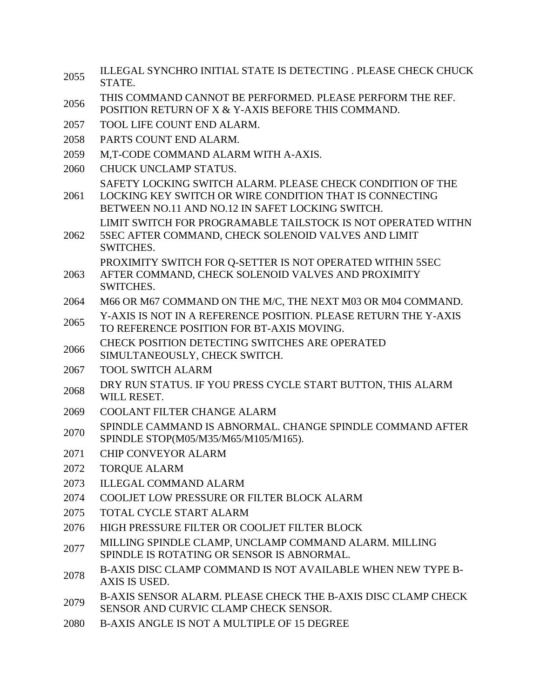- 2055 ILLEGAL SYNCHRO INITIAL STATE IS DETECTING . PLEASE CHECK CHUCK STATE.
- THIS COMMAND CANNOT BE PERFORMED. PLEASE PERFORM THE REF.
- POSITION RETURN OF X & Y-AXIS BEFORE THIS COMMAND.
- 2057 TOOL LIFE COUNT END ALARM.
- 2058 PARTS COUNT END ALARM.
- 2059 M,T-CODE COMMAND ALARM WITH A-AXIS.
- 2060 CHUCK UNCLAMP STATUS.
	- SAFETY LOCKING SWITCH ALARM. PLEASE CHECK CONDITION OF THE
- 2061 LOCKING KEY SWITCH OR WIRE CONDITION THAT IS CONNECTING BETWEEN NO.11 AND NO.12 IN SAFET LOCKING SWITCH. LIMIT SWITCH FOR PROGRAMABLE TAILSTOCK IS NOT OPERATED WITHN
- 2062 5SEC AFTER COMMAND, CHECK SOLENOID VALVES AND LIMIT SWITCHES.
- 2063 PROXIMITY SWITCH FOR Q-SETTER IS NOT OPERATED WITHIN 5SEC AFTER COMMAND, CHECK SOLENOID VALVES AND PROXIMITY SWITCHES.
- 2064 M66 OR M67 COMMAND ON THE M/C, THE NEXT M03 OR M04 COMMAND.
- 2065 Y-AXIS IS NOT IN A REFERENCE POSITION. PLEASE RETURN THE Y-AXIS TO REFERENCE POSITION FOR BT-AXIS MOVING.
- 2066 CHECK POSITION DETECTING SWITCHES ARE OPERATED
- SIMULTANEOUSLY, CHECK SWITCH.
- 2067 TOOL SWITCH ALARM
- 2068 DRY RUN STATUS. IF YOU PRESS CYCLE START BUTTON, THIS ALARM WILL RESET.
- 2069 COOLANT FILTER CHANGE ALARM
- 2070 SPINDLE CAMMAND IS ABNORMAL. CHANGE SPINDLE COMMAND AFTER SPINDLE STOP(M05/M35/M65/M105/M165).
- 2071 CHIP CONVEYOR ALARM
- 2072 TORQUE ALARM
- 2073 ILLEGAL COMMAND ALARM
- 2074 COOLJET LOW PRESSURE OR FILTER BLOCK ALARM
- 2075 TOTAL CYCLE START ALARM
- 2076 HIGH PRESSURE FILTER OR COOLJET FILTER BLOCK
- 2077 MILLING SPINDLE CLAMP, UNCLAMP COMMAND ALARM. MILLING SPINDLE IS ROTATING OR SENSOR IS ABNORMAL.
- 2078 B-AXIS DISC CLAMP COMMAND IS NOT AVAILABLE WHEN NEW TYPE B-AXIS IS USED.
- 2079 B-AXIS SENSOR ALARM. PLEASE CHECK THE B-AXIS DISC CLAMP CHECK SENSOR AND CURVIC CLAMP CHECK SENSOR.
- 2080 B-AXIS ANGLE IS NOT A MULTIPLE OF 15 DEGREE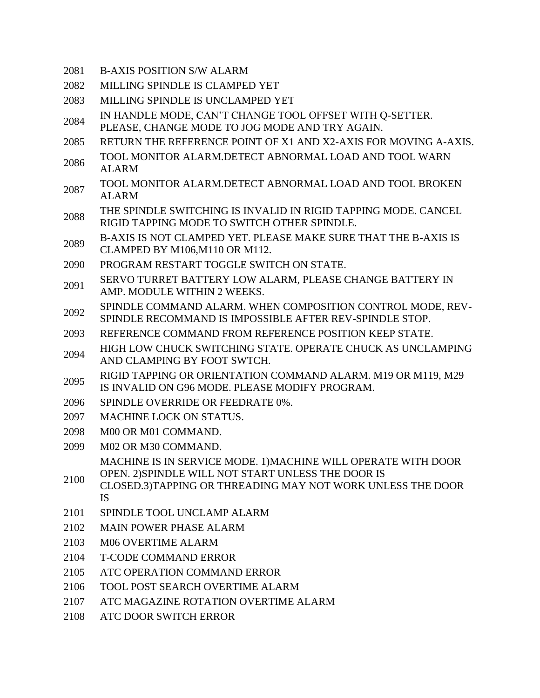- 2081 B-AXIS POSITION S/W ALARM
- 2082 MILLING SPINDLE IS CLAMPED YET
- 2083 MILLING SPINDLE IS UNCLAMPED YET
- 2084 IN HANDLE MODE, CAN'T CHANGE TOOL OFFSET WITH Q-SETTER.
- PLEASE, CHANGE MODE TO JOG MODE AND TRY AGAIN.
- 2085 RETURN THE REFERENCE POINT OF X1 AND X2-AXIS FOR MOVING A-AXIS.
- <sup>2086</sup> TOOL MONITOR ALARM.DETECT ABNORMAL LOAD AND TOOL WARN ALARM
- TOOL MONITOR ALARM.DETECT ABNORMAL LOAD AND TOOL BROKEN ALARM
- 2088 THE SPINDLE SWITCHING IS INVALID IN RIGID TAPPING MODE. CANCEL RIGID TAPPING MODE TO SWITCH OTHER SPINDLE.
- 2089 B-AXIS IS NOT CLAMPED YET. PLEASE MAKE SURE THAT THE B-AXIS IS CLAMPED BY M106,M110 OR M112.
- 2090 PROGRAM RESTART TOGGLE SWITCH ON STATE.
- 2091 SERVO TURRET BATTERY LOW ALARM, PLEASE CHANGE BATTERY IN AMP. MODULE WITHIN 2 WEEKS.
- 2092 SPINDLE COMMAND ALARM. WHEN COMPOSITION CONTROL MODE, REV-SPINDLE RECOMMAND IS IMPOSSIBLE AFTER REV-SPINDLE STOP.
- 2093 REFERENCE COMMAND FROM REFERENCE POSITION KEEP STATE.
- 2094 HIGH LOW CHUCK SWITCHING STATE. OPERATE CHUCK AS UNCLAMPING AND CLAMPING BY FOOT SWTCH.
- 2095 RIGID TAPPING OR ORIENTATION COMMAND ALARM. M19 OR M119, M29 IS INVALID ON G96 MODE. PLEASE MODIFY PROGRAM.
- 2096 SPINDLE OVERRIDE OR FEEDRATE 0%.
- 2097 MACHINE LOCK ON STATUS.
- 2098 M00 OR M01 COMMAND.
- 2099 M02 OR M30 COMMAND. MACHINE IS IN SERVICE MODE. 1)MACHINE WILL OPERATE WITH DOOR
- 2100 OPEN. 2)SPINDLE WILL NOT START UNLESS THE DOOR IS
- CLOSED.3)TAPPING OR THREADING MAY NOT WORK UNLESS THE DOOR IS
- 2101 SPINDLE TOOL UNCLAMP ALARM
- 2102 MAIN POWER PHASE ALARM
- 2103 M06 OVERTIME ALARM
- 2104 T-CODE COMMAND ERROR
- 2105 ATC OPERATION COMMAND ERROR
- 2106 TOOL POST SEARCH OVERTIME ALARM
- 2107 ATC MAGAZINE ROTATION OVERTIME ALARM
- 2108 ATC DOOR SWITCH ERROR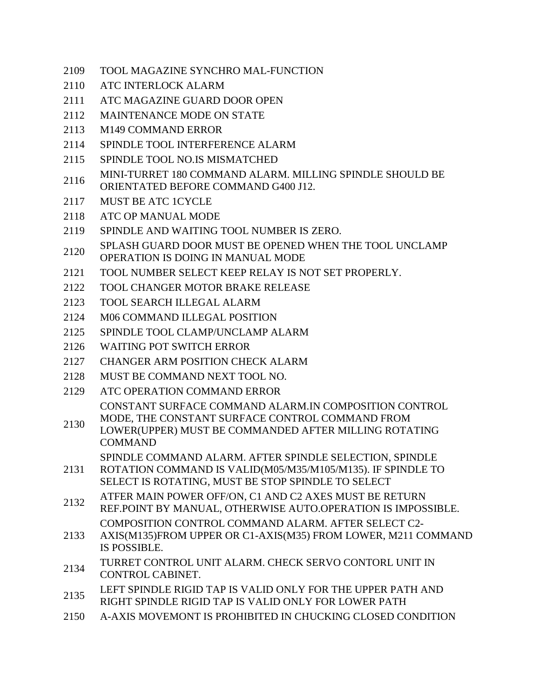- 2109 TOOL MAGAZINE SYNCHRO MAL-FUNCTION
- 2110 ATC INTERLOCK ALARM
- 2111 ATC MAGAZINE GUARD DOOR OPEN
- 2112 MAINTENANCE MODE ON STATE
- 2113 M149 COMMAND ERROR
- 2114 SPINDLE TOOL INTERFERENCE ALARM
- 2115 SPINDLE TOOL NO.IS MISMATCHED
- 2116 MINI-TURRET 180 COMMAND ALARM. MILLING SPINDLE SHOULD BE ORIENTATED BEFORE COMMAND G400 J12.
- 2117 MUST BE ATC 1CYCLE
- 2118 ATC OP MANUAL MODE
- 2119 SPINDLE AND WAITING TOOL NUMBER IS ZERO.
- 2120 SPLASH GUARD DOOR MUST BE OPENED WHEN THE TOOL UNCLAMP
- OPERATION IS DOING IN MANUAL MODE
- 2121 TOOL NUMBER SELECT KEEP RELAY IS NOT SET PROPERLY.
- 2122 TOOL CHANGER MOTOR BRAKE RELEASE
- 2123 TOOL SEARCH ILLEGAL ALARM
- 2124 M06 COMMAND ILLEGAL POSITION
- 2125 SPINDLE TOOL CLAMP/UNCLAMP ALARM
- 2126 WAITING POT SWITCH ERROR
- 2127 CHANGER ARM POSITION CHECK ALARM
- 2128 MUST BE COMMAND NEXT TOOL NO.
- 2129 ATC OPERATION COMMAND ERROR CONSTANT SURFACE COMMAND ALARM.IN COMPOSITION CONTROL
- 2130 MODE, THE CONSTANT SURFACE CONTROL COMMAND FROM
- LOWER(UPPER) MUST BE COMMANDED AFTER MILLING ROTATING COMMAND
	- SPINDLE COMMAND ALARM. AFTER SPINDLE SELECTION, SPINDLE
- 2131 ROTATION COMMAND IS VALID(M05/M35/M105/M135). IF SPINDLE TO SELECT IS ROTATING, MUST BE STOP SPINDLE TO SELECT
- 2132 ATFER MAIN POWER OFF/ON, C1 AND C2 AXES MUST BE RETURN REF.POINT BY MANUAL, OTHERWISE AUTO.OPERATION IS IMPOSSIBLE. COMPOSITION CONTROL COMMAND ALARM. AFTER SELECT C2-
- 2133 AXIS(M135)FROM UPPER OR C1-AXIS(M35) FROM LOWER, M211 COMMAND IS POSSIBLE.
- 2134 TURRET CONTROL UNIT ALARM. CHECK SERVO CONTORL UNIT IN CONTROL CABINET.
- 2135 LEFT SPINDLE RIGID TAP IS VALID ONLY FOR THE UPPER PATH AND
- RIGHT SPINDLE RIGID TAP IS VALID ONLY FOR LOWER PATH
- 2150 A-AXIS MOVEMONT IS PROHIBITED IN CHUCKING CLOSED CONDITION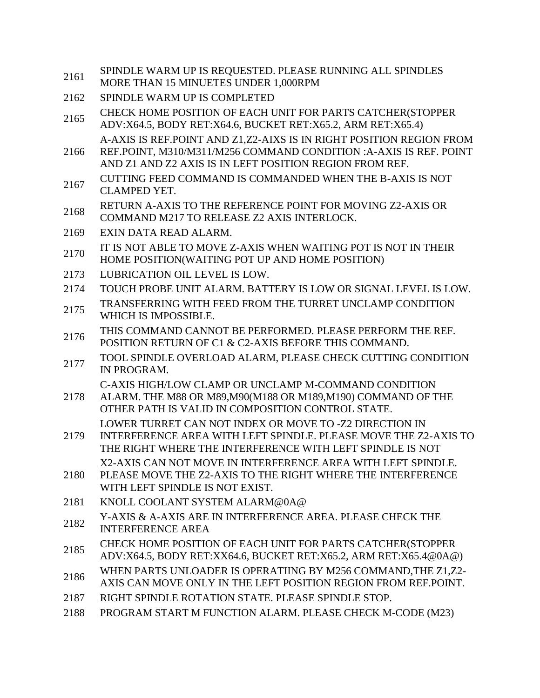| 2161 | SPINDLE WARM UP IS REQUESTED. PLEASE RUNNING ALL SPINDLES<br>MORE THAN 15 MINUETES UNDER 1,000RPM                                                                                                   |
|------|-----------------------------------------------------------------------------------------------------------------------------------------------------------------------------------------------------|
| 2162 | SPINDLE WARM UP IS COMPLETED                                                                                                                                                                        |
| 2165 | CHECK HOME POSITION OF EACH UNIT FOR PARTS CATCHER (STOPPER<br>ADV:X64.5, BODY RET:X64.6, BUCKET RET:X65.2, ARM RET:X65.4)                                                                          |
| 2166 | A-AXIS IS REF.POINT AND Z1,Z2-AIXS IS IN RIGHT POSITION REGION FROM<br>REF.POINT, M310/M311/M256 COMMAND CONDITION :A-AXIS IS REF. POINT<br>AND Z1 AND Z2 AXIS IS IN LEFT POSITION REGION FROM REF. |
| 2167 | CUTTING FEED COMMAND IS COMMANDED WHEN THE B-AXIS IS NOT<br><b>CLAMPED YET.</b>                                                                                                                     |
| 2168 | RETURN A-AXIS TO THE REFERENCE POINT FOR MOVING Z2-AXIS OR<br>COMMAND M217 TO RELEASE Z2 AXIS INTERLOCK.                                                                                            |
| 2169 | EXIN DATA READ ALARM.                                                                                                                                                                               |
| 2170 | IT IS NOT ABLE TO MOVE Z-AXIS WHEN WAITING POT IS NOT IN THEIR<br>HOME POSITION(WAITING POT UP AND HOME POSITION)                                                                                   |
| 2173 | LUBRICATION OIL LEVEL IS LOW.                                                                                                                                                                       |
| 2174 | TOUCH PROBE UNIT ALARM. BATTERY IS LOW OR SIGNAL LEVEL IS LOW.                                                                                                                                      |
| 2175 | TRANSFERRING WITH FEED FROM THE TURRET UNCLAMP CONDITION<br>WHICH IS IMPOSSIBLE.                                                                                                                    |
| 2176 | THIS COMMAND CANNOT BE PERFORMED. PLEASE PERFORM THE REF.<br>POSITION RETURN OF C1 & C2-AXIS BEFORE THIS COMMAND.                                                                                   |
| 2177 | TOOL SPINDLE OVERLOAD ALARM, PLEASE CHECK CUTTING CONDITION<br>IN PROGRAM.                                                                                                                          |
| 2178 | C-AXIS HIGH/LOW CLAMP OR UNCLAMP M-COMMAND CONDITION<br>ALARM. THE M88 OR M89, M90(M188 OR M189, M190) COMMAND OF THE<br>OTHER PATH IS VALID IN COMPOSITION CONTROL STATE.                          |
| 2179 | LOWER TURRET CAN NOT INDEX OR MOVE TO -Z2 DIRECTION IN<br>INTERFERENCE AREA WITH LEFT SPINDLE. PLEASE MOVE THE Z2-AXIS TO<br>THE RIGHT WHERE THE INTERFERENCE WITH LEFT SPINDLE IS NOT              |
| 2180 | X2-AXIS CAN NOT MOVE IN INTERFERENCE AREA WITH LEFT SPINDLE.<br>PLEASE MOVE THE Z2-AXIS TO THE RIGHT WHERE THE INTERFERENCE<br>WITH LEFT SPINDLE IS NOT EXIST.                                      |
| 2181 | KNOLL COOLANT SYSTEM ALARM@0A@                                                                                                                                                                      |
| 2182 | Y-AXIS & A-AXIS ARE IN INTERFERENCE AREA. PLEASE CHECK THE<br><b>INTERFERENCE AREA</b>                                                                                                              |
| 2185 | CHECK HOME POSITION OF EACH UNIT FOR PARTS CATCHER(STOPPER<br>ADV:X64.5, BODY RET:XX64.6, BUCKET RET:X65.2, ARM RET:X65.4@0A@)                                                                      |
| 2186 | WHEN PARTS UNLOADER IS OPERATIING BY M256 COMMAND, THE Z1, Z2-<br>AXIS CAN MOVE ONLY IN THE LEFT POSITION REGION FROM REF.POINT.                                                                    |
| 2187 | RIGHT SPINDLE ROTATION STATE. PLEASE SPINDLE STOP.                                                                                                                                                  |
| 2188 | PROGRAM START M FUNCTION ALARM. PLEASE CHECK M-CODE (M23)                                                                                                                                           |